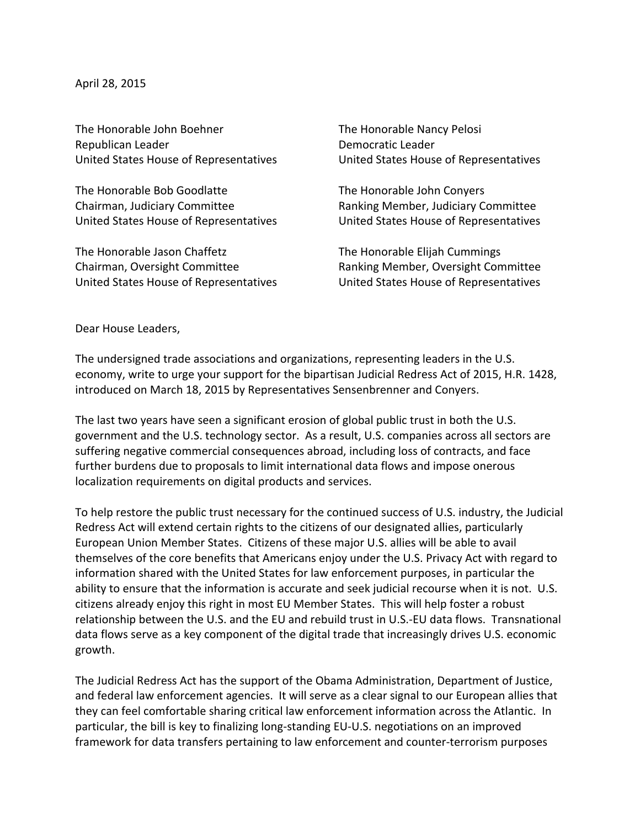April 28, 2015

The Honorable John Boehner The Honorable Nancy Pelosi Republican Leader **Democratic** Leader

The Honorable Bob Goodlatte The Honorable John Conyers Chairman, Judiciary Committee **Ranking Member, Judiciary Committee** 

The Honorable Jason Chaffetz The Honorable Elijah Cummings

United States House of Representatives **United States House of Representatives** 

United States House of Representatives **United States House of Representatives** 

Chairman, Oversight Committee **Ranking Member, Oversight Committee** United States House of Representatives **United States House of Representatives** 

Dear House Leaders,

The undersigned trade associations and organizations, representing leaders in the U.S. economy, write to urge your support for the bipartisan Judicial Redress Act of 2015, H.R. 1428, introduced on March 18, 2015 by Representatives Sensenbrenner and Conyers.

The last two years have seen a significant erosion of global public trust in both the U.S. government and the U.S. technology sector. As a result, U.S. companies across all sectors are suffering negative commercial consequences abroad, including loss of contracts, and face further burdens due to proposals to limit international data flows and impose onerous localization requirements on digital products and services.

To help restore the public trust necessary for the continued success of U.S. industry, the Judicial Redress Act will extend certain rights to the citizens of our designated allies, particularly European Union Member States. Citizens of these major U.S. allies will be able to avail themselves of the core benefits that Americans enjoy under the U.S. Privacy Act with regard to information shared with the United States for law enforcement purposes, in particular the ability to ensure that the information is accurate and seek judicial recourse when it is not. U.S. citizens already enjoy this right in most EU Member States. This will help foster a robust relationship between the U.S. and the EU and rebuild trust in U.S.-EU data flows. Transnational data flows serve as a key component of the digital trade that increasingly drives U.S. economic growth.

The Judicial Redress Act has the support of the Obama Administration, Department of Justice, and federal law enforcement agencies. It will serve as a clear signal to our European allies that they can feel comfortable sharing critical law enforcement information across the Atlantic. In particular, the bill is key to finalizing long-standing EU-U.S. negotiations on an improved framework for data transfers pertaining to law enforcement and counter-terrorism purposes